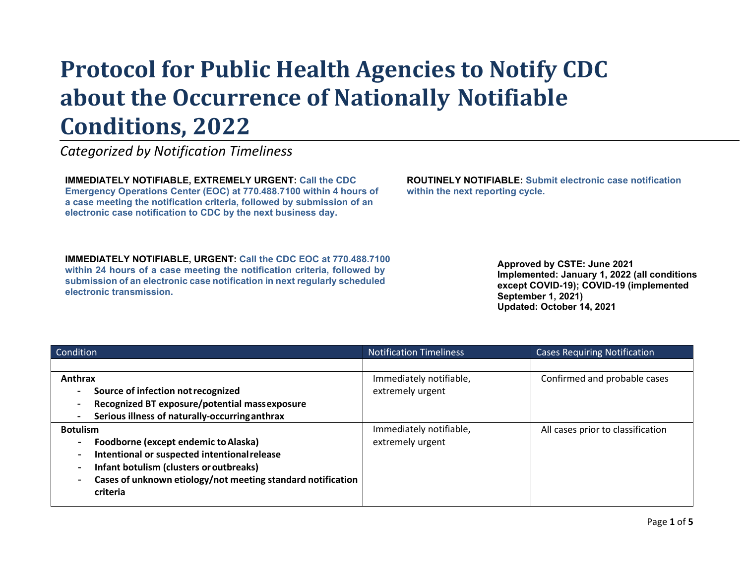## **Protocol for Public Health Agencies to Notify CDC about the Occurrence of Nationally Notifiable Conditions, 2022**

*Categorized by Notification Timeliness*

**IMMEDIATELY NOTIFIABLE, EXTREMELY URGENT: Call the CDC Emergency Operations Center (EOC) at 770.488.7100 within 4 hours of a case meeting the notification criteria, followed by submission of an electronic case notification to CDC by the next business day.**

**IMMEDIATELY NOTIFIABLE, URGENT: Call the CDC EOC at 770.488.7100 within 24 hours of a case meeting the notification criteria, followed by submission of an electronic case notification in next regularly scheduled electronic transmission.**

**ROUTINELY NOTIFIABLE: Submit electronic case notification within the next reporting cycle.**

> **Approved by CSTE: June 2021 Implemented: January 1, 2022 (all conditions except COVID-19); COVID-19 (implemented September 1, 2021) Updated: October 14, 2021**

| Condition                                                   | <b>Notification Timeliness</b> | <b>Cases Requiring Notification</b> |
|-------------------------------------------------------------|--------------------------------|-------------------------------------|
|                                                             |                                |                                     |
| Anthrax                                                     | Immediately notifiable,        | Confirmed and probable cases        |
| Source of infection not recognized                          | extremely urgent               |                                     |
| Recognized BT exposure/potential massexposure               |                                |                                     |
| Serious illness of naturally-occurring anthrax              |                                |                                     |
| <b>Botulism</b>                                             | Immediately notifiable,        | All cases prior to classification   |
| Foodborne (except endemic to Alaska)                        | extremely urgent               |                                     |
| Intentional or suspected intentional release                |                                |                                     |
| Infant botulism (clusters or outbreaks)                     |                                |                                     |
| Cases of unknown etiology/not meeting standard notification |                                |                                     |
| criteria                                                    |                                |                                     |
|                                                             |                                |                                     |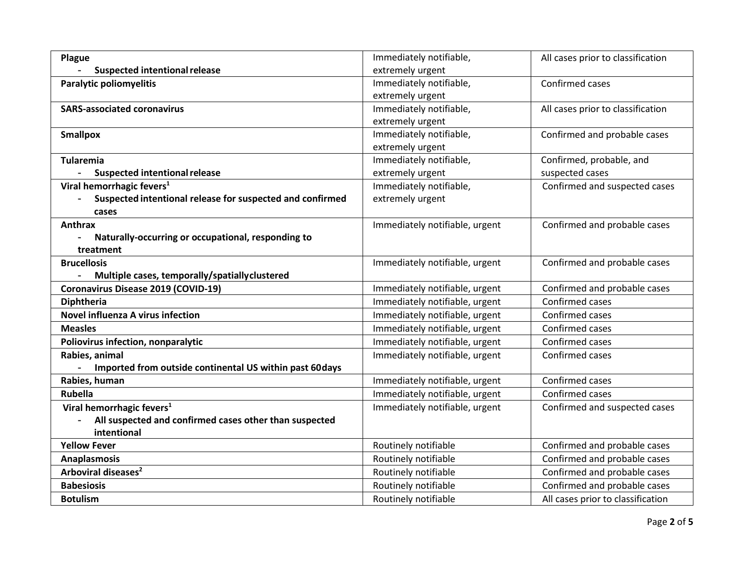| Plague                                                    | Immediately notifiable,        | All cases prior to classification |
|-----------------------------------------------------------|--------------------------------|-----------------------------------|
| <b>Suspected intentional release</b>                      | extremely urgent               |                                   |
| <b>Paralytic poliomyelitis</b>                            | Immediately notifiable,        | Confirmed cases                   |
|                                                           | extremely urgent               |                                   |
| <b>SARS-associated coronavirus</b>                        | Immediately notifiable,        | All cases prior to classification |
|                                                           | extremely urgent               |                                   |
| <b>Smallpox</b>                                           | Immediately notifiable,        | Confirmed and probable cases      |
|                                                           | extremely urgent               |                                   |
| <b>Tularemia</b>                                          | Immediately notifiable,        | Confirmed, probable, and          |
| <b>Suspected intentional release</b>                      | extremely urgent               | suspected cases                   |
| Viral hemorrhagic fevers <sup>1</sup>                     | Immediately notifiable,        | Confirmed and suspected cases     |
| Suspected intentional release for suspected and confirmed | extremely urgent               |                                   |
| cases                                                     |                                |                                   |
| <b>Anthrax</b>                                            | Immediately notifiable, urgent | Confirmed and probable cases      |
| Naturally-occurring or occupational, responding to        |                                |                                   |
| treatment                                                 |                                |                                   |
| <b>Brucellosis</b>                                        | Immediately notifiable, urgent | Confirmed and probable cases      |
| Multiple cases, temporally/spatiallyclustered             |                                |                                   |
| Coronavirus Disease 2019 (COVID-19)                       | Immediately notifiable, urgent | Confirmed and probable cases      |
| <b>Diphtheria</b>                                         | Immediately notifiable, urgent | Confirmed cases                   |
| <b>Novel influenza A virus infection</b>                  | Immediately notifiable, urgent | Confirmed cases                   |
| <b>Measles</b>                                            | Immediately notifiable, urgent | Confirmed cases                   |
| Poliovirus infection, nonparalytic                        | Immediately notifiable, urgent | Confirmed cases                   |
| Rabies, animal                                            | Immediately notifiable, urgent | Confirmed cases                   |
| Imported from outside continental US within past 60days   |                                |                                   |
| Rabies, human                                             | Immediately notifiable, urgent | Confirmed cases                   |
| Rubella                                                   | Immediately notifiable, urgent | Confirmed cases                   |
| Viral hemorrhagic fevers <sup>1</sup>                     | Immediately notifiable, urgent | Confirmed and suspected cases     |
| All suspected and confirmed cases other than suspected    |                                |                                   |
| intentional                                               |                                |                                   |
| <b>Yellow Fever</b>                                       | Routinely notifiable           | Confirmed and probable cases      |
| <b>Anaplasmosis</b>                                       | Routinely notifiable           | Confirmed and probable cases      |
| Arboviral diseases <sup>2</sup>                           | Routinely notifiable           | Confirmed and probable cases      |
| <b>Babesiosis</b>                                         | Routinely notifiable           | Confirmed and probable cases      |
| <b>Botulism</b>                                           | Routinely notifiable           | All cases prior to classification |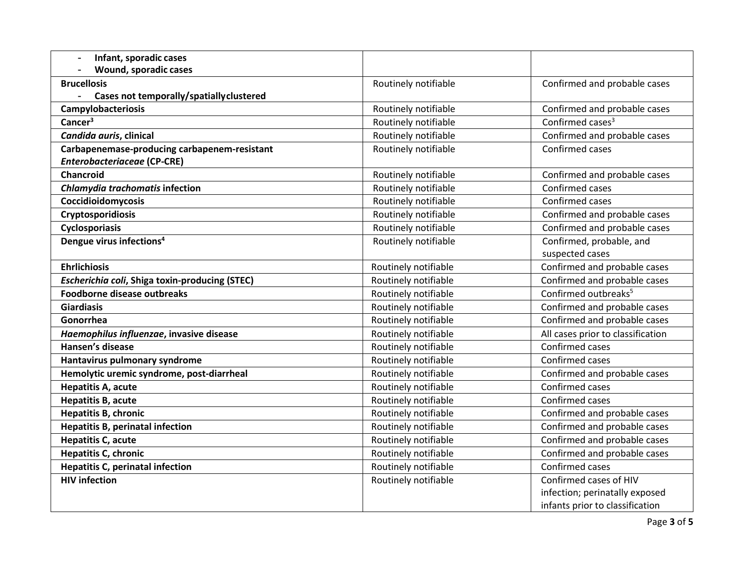| Infant, sporadic cases<br>$\blacksquare$                   |                      |                                   |
|------------------------------------------------------------|----------------------|-----------------------------------|
| Wound, sporadic cases                                      |                      |                                   |
| <b>Brucellosis</b>                                         | Routinely notifiable | Confirmed and probable cases      |
| Cases not temporally/spatially clustered<br>$\blacksquare$ |                      |                                   |
| Campylobacteriosis                                         | Routinely notifiable | Confirmed and probable cases      |
| Cancer <sup>3</sup>                                        | Routinely notifiable | Confirmed cases <sup>3</sup>      |
| Candida auris, clinical                                    | Routinely notifiable | Confirmed and probable cases      |
| Carbapenemase-producing carbapenem-resistant               | Routinely notifiable | Confirmed cases                   |
| <b>Enterobacteriaceae (CP-CRE)</b>                         |                      |                                   |
| Chancroid                                                  | Routinely notifiable | Confirmed and probable cases      |
| Chlamydia trachomatis infection                            | Routinely notifiable | Confirmed cases                   |
| Coccidioidomycosis                                         | Routinely notifiable | Confirmed cases                   |
| Cryptosporidiosis                                          | Routinely notifiable | Confirmed and probable cases      |
| <b>Cyclosporiasis</b>                                      | Routinely notifiable | Confirmed and probable cases      |
| Dengue virus infections <sup>4</sup>                       | Routinely notifiable | Confirmed, probable, and          |
|                                                            |                      | suspected cases                   |
| <b>Ehrlichiosis</b>                                        | Routinely notifiable | Confirmed and probable cases      |
| Escherichia coli, Shiga toxin-producing (STEC)             | Routinely notifiable | Confirmed and probable cases      |
| <b>Foodborne disease outbreaks</b>                         | Routinely notifiable | Confirmed outbreaks <sup>5</sup>  |
| <b>Giardiasis</b>                                          | Routinely notifiable | Confirmed and probable cases      |
| Gonorrhea                                                  | Routinely notifiable | Confirmed and probable cases      |
| Haemophilus influenzae, invasive disease                   | Routinely notifiable | All cases prior to classification |
| Hansen's disease                                           | Routinely notifiable | Confirmed cases                   |
| Hantavirus pulmonary syndrome                              | Routinely notifiable | Confirmed cases                   |
| Hemolytic uremic syndrome, post-diarrheal                  | Routinely notifiable | Confirmed and probable cases      |
| Hepatitis A, acute                                         | Routinely notifiable | Confirmed cases                   |
| <b>Hepatitis B, acute</b>                                  | Routinely notifiable | Confirmed cases                   |
| <b>Hepatitis B, chronic</b>                                | Routinely notifiable | Confirmed and probable cases      |
| <b>Hepatitis B, perinatal infection</b>                    | Routinely notifiable | Confirmed and probable cases      |
| <b>Hepatitis C, acute</b>                                  | Routinely notifiable | Confirmed and probable cases      |
| <b>Hepatitis C, chronic</b>                                | Routinely notifiable | Confirmed and probable cases      |
| <b>Hepatitis C, perinatal infection</b>                    | Routinely notifiable | Confirmed cases                   |
| <b>HIV infection</b>                                       | Routinely notifiable | Confirmed cases of HIV            |
|                                                            |                      | infection; perinatally exposed    |
|                                                            |                      | infants prior to classification   |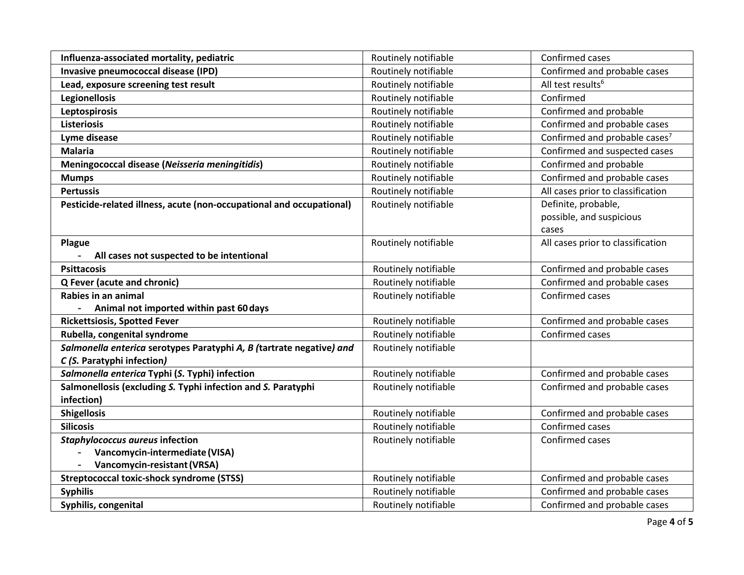| Influenza-associated mortality, pediatric                                                          | Routinely notifiable | Confirmed cases                                          |
|----------------------------------------------------------------------------------------------------|----------------------|----------------------------------------------------------|
| Invasive pneumococcal disease (IPD)                                                                | Routinely notifiable | Confirmed and probable cases                             |
| Lead, exposure screening test result                                                               | Routinely notifiable | All test results <sup>6</sup>                            |
| <b>Legionellosis</b>                                                                               | Routinely notifiable | Confirmed                                                |
| <b>Leptospirosis</b>                                                                               | Routinely notifiable | Confirmed and probable                                   |
| <b>Listeriosis</b>                                                                                 | Routinely notifiable | Confirmed and probable cases                             |
| Lyme disease                                                                                       | Routinely notifiable | Confirmed and probable cases <sup>7</sup>                |
| <b>Malaria</b>                                                                                     | Routinely notifiable | Confirmed and suspected cases                            |
| Meningococcal disease (Neisseria meningitidis)                                                     | Routinely notifiable | Confirmed and probable                                   |
| <b>Mumps</b>                                                                                       | Routinely notifiable | Confirmed and probable cases                             |
| <b>Pertussis</b>                                                                                   | Routinely notifiable | All cases prior to classification                        |
| Pesticide-related illness, acute (non-occupational and occupational)                               | Routinely notifiable | Definite, probable,<br>possible, and suspicious<br>cases |
| Plague                                                                                             | Routinely notifiable | All cases prior to classification                        |
| All cases not suspected to be intentional                                                          |                      |                                                          |
| <b>Psittacosis</b>                                                                                 | Routinely notifiable | Confirmed and probable cases                             |
| Q Fever (acute and chronic)                                                                        | Routinely notifiable | Confirmed and probable cases                             |
| Rabies in an animal                                                                                | Routinely notifiable | Confirmed cases                                          |
| Animal not imported within past 60 days<br>$\blacksquare$                                          |                      |                                                          |
| <b>Rickettsiosis, Spotted Fever</b>                                                                | Routinely notifiable | Confirmed and probable cases                             |
| Rubella, congenital syndrome                                                                       | Routinely notifiable | Confirmed cases                                          |
| Salmonella enterica serotypes Paratyphi A, B (tartrate negative) and<br>C (S. Paratyphi infection) | Routinely notifiable |                                                          |
| Salmonella enterica Typhi (S. Typhi) infection                                                     | Routinely notifiable | Confirmed and probable cases                             |
| Salmonellosis (excluding S. Typhi infection and S. Paratyphi<br>infection)                         | Routinely notifiable | Confirmed and probable cases                             |
| <b>Shigellosis</b>                                                                                 | Routinely notifiable | Confirmed and probable cases                             |
| <b>Silicosis</b>                                                                                   | Routinely notifiable | Confirmed cases                                          |
| <b>Staphylococcus aureus infection</b>                                                             | Routinely notifiable | Confirmed cases                                          |
| Vancomycin-intermediate (VISA)                                                                     |                      |                                                          |
| Vancomycin-resistant (VRSA)                                                                        |                      |                                                          |
| <b>Streptococcal toxic-shock syndrome (STSS)</b>                                                   | Routinely notifiable | Confirmed and probable cases                             |
| <b>Syphilis</b>                                                                                    | Routinely notifiable | Confirmed and probable cases                             |
| Syphilis, congenital                                                                               | Routinely notifiable | Confirmed and probable cases                             |